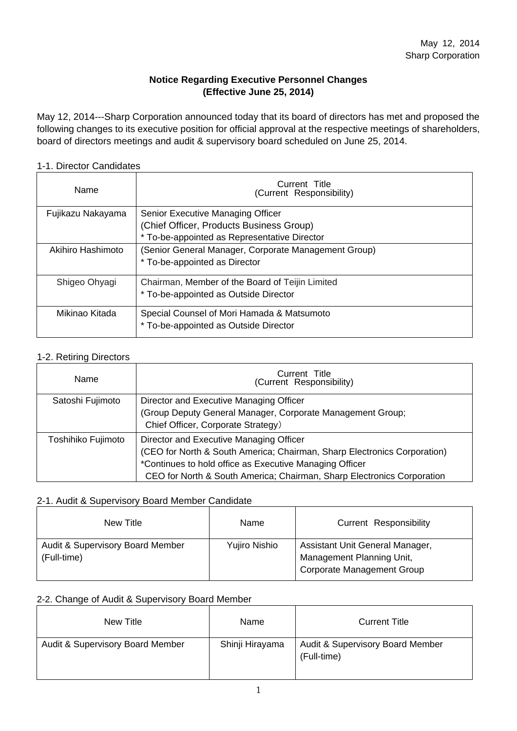# **Notice Regarding Executive Personnel Changes (Effective June 25, 2014)**

May 12, 2014---Sharp Corporation announced today that its board of directors has met and proposed the following changes to its executive position for official approval at the respective meetings of shareholders, board of directors meetings and audit & supervisory board scheduled on June 25, 2014.

#### 1-1. Director Candidates

| Name              | Current Title<br>(Current Responsibility)            |  |  |  |
|-------------------|------------------------------------------------------|--|--|--|
| Fujikazu Nakayama | Senior Executive Managing Officer                    |  |  |  |
|                   | (Chief Officer, Products Business Group)             |  |  |  |
|                   | * To-be-appointed as Representative Director         |  |  |  |
| Akihiro Hashimoto | (Senior General Manager, Corporate Management Group) |  |  |  |
|                   | * To-be-appointed as Director                        |  |  |  |
| Shigeo Ohyagi     | Chairman, Member of the Board of Teijin Limited      |  |  |  |
|                   | * To-be-appointed as Outside Director                |  |  |  |
| Mikinao Kitada    | Special Counsel of Mori Hamada & Matsumoto           |  |  |  |
|                   | * To-be-appointed as Outside Director                |  |  |  |

#### 1-2. Retiring Directors

| Name               | Current Title<br>(Current Responsibility)                                                                                                                                                                                                                |
|--------------------|----------------------------------------------------------------------------------------------------------------------------------------------------------------------------------------------------------------------------------------------------------|
| Satoshi Fujimoto   | Director and Executive Managing Officer<br>(Group Deputy General Manager, Corporate Management Group;<br>Chief Officer, Corporate Strategy)                                                                                                              |
| Toshihiko Fujimoto | Director and Executive Managing Officer<br>(CEO for North & South America; Chairman, Sharp Electronics Corporation)<br>*Continues to hold office as Executive Managing Officer<br>CEO for North & South America; Chairman, Sharp Electronics Corporation |

#### 2-1. Audit & Supervisory Board Member Candidate

| New Title                                       | Name          | Current Responsibility                                                                            |
|-------------------------------------------------|---------------|---------------------------------------------------------------------------------------------------|
| Audit & Supervisory Board Member<br>(Full-time) | Yujiro Nishio | Assistant Unit General Manager,<br>Management Planning Unit,<br><b>Corporate Management Group</b> |

## 2-2. Change of Audit & Supervisory Board Member

| New Title                        | Name            | <b>Current Title</b>                            |
|----------------------------------|-----------------|-------------------------------------------------|
| Audit & Supervisory Board Member | Shinji Hirayama | Audit & Supervisory Board Member<br>(Full-time) |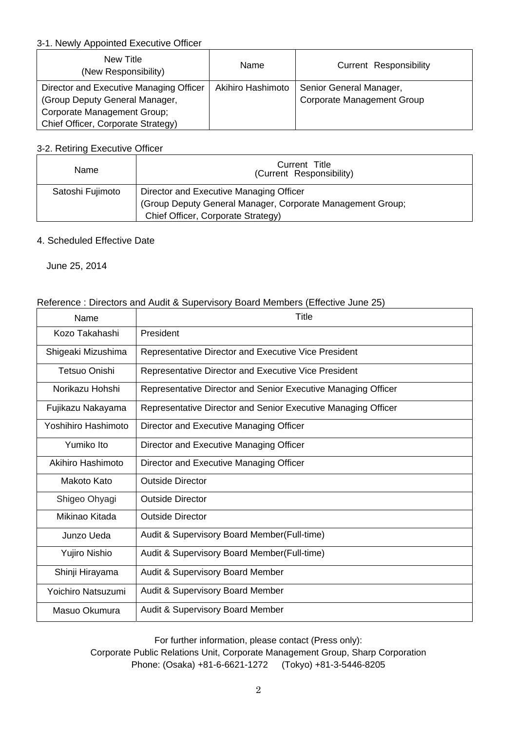## 3-1. Newly Appointed Executive Officer

| New Title<br>(New Responsibility)                                         | Name              | Current Responsibility                                       |
|---------------------------------------------------------------------------|-------------------|--------------------------------------------------------------|
| Director and Executive Managing Officer<br>(Group Deputy General Manager, | Akihiro Hashimoto | Senior General Manager,<br><b>Corporate Management Group</b> |
| Corporate Management Group;                                               |                   |                                                              |
| Chief Officer, Corporate Strategy)                                        |                   |                                                              |

# 3-2. Retiring Executive Officer

| Name             | Current Title<br>(Current Responsibility)                  |  |  |
|------------------|------------------------------------------------------------|--|--|
| Satoshi Fujimoto | Director and Executive Managing Officer                    |  |  |
|                  | (Group Deputy General Manager, Corporate Management Group; |  |  |
|                  | Chief Officer, Corporate Strategy)                         |  |  |

## 4. Scheduled Effective Date

June 25, 2014

## Reference : Directors and Audit & Supervisory Board Members (Effective June 25)

| Name                | Title                                                         |
|---------------------|---------------------------------------------------------------|
| Kozo Takahashi      | President                                                     |
| Shigeaki Mizushima  | Representative Director and Executive Vice President          |
| Tetsuo Onishi       | Representative Director and Executive Vice President          |
| Norikazu Hohshi     | Representative Director and Senior Executive Managing Officer |
| Fujikazu Nakayama   | Representative Director and Senior Executive Managing Officer |
| Yoshihiro Hashimoto | Director and Executive Managing Officer                       |
| Yumiko Ito          | Director and Executive Managing Officer                       |
| Akihiro Hashimoto   | Director and Executive Managing Officer                       |
| Makoto Kato         | <b>Outside Director</b>                                       |
| Shigeo Ohyagi       | <b>Outside Director</b>                                       |
| Mikinao Kitada      | <b>Outside Director</b>                                       |
| Junzo Ueda          | Audit & Supervisory Board Member(Full-time)                   |
| Yujiro Nishio       | Audit & Supervisory Board Member(Full-time)                   |
| Shinji Hirayama     | Audit & Supervisory Board Member                              |
| Yoichiro Natsuzumi  | <b>Audit &amp; Supervisory Board Member</b>                   |
| Masuo Okumura       | Audit & Supervisory Board Member                              |

For further information, please contact (Press only): Corporate Public Relations Unit, Corporate Management Group, Sharp Corporation Phone: (Osaka) +81-6-6621-1272 (Tokyo) +81-3-5446-8205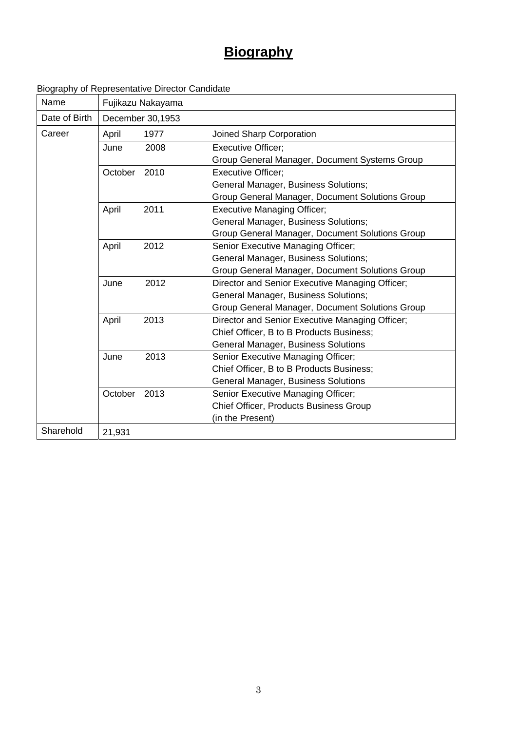# **Biography**

| Name          | Fujikazu Nakayama |                  |                                                 |
|---------------|-------------------|------------------|-------------------------------------------------|
| Date of Birth |                   | December 30,1953 |                                                 |
| Career        | April             | 1977             | Joined Sharp Corporation                        |
|               | June              | 2008             | <b>Executive Officer;</b>                       |
|               |                   |                  | Group General Manager, Document Systems Group   |
|               | October           | 2010             | <b>Executive Officer:</b>                       |
|               |                   |                  | General Manager, Business Solutions;            |
|               |                   |                  | Group General Manager, Document Solutions Group |
|               | April             | 2011             | <b>Executive Managing Officer;</b>              |
|               |                   |                  | General Manager, Business Solutions;            |
|               |                   |                  | Group General Manager, Document Solutions Group |
|               | April             | 2012             | Senior Executive Managing Officer;              |
|               |                   |                  | General Manager, Business Solutions;            |
|               |                   |                  | Group General Manager, Document Solutions Group |
|               | June              | 2012             | Director and Senior Executive Managing Officer; |
|               |                   |                  | General Manager, Business Solutions;            |
|               |                   |                  | Group General Manager, Document Solutions Group |
|               | April             | 2013             | Director and Senior Executive Managing Officer; |
|               |                   |                  | Chief Officer, B to B Products Business;        |
|               |                   |                  | General Manager, Business Solutions             |
|               | June              | 2013             | Senior Executive Managing Officer;              |
|               |                   |                  | Chief Officer, B to B Products Business;        |
|               |                   |                  | <b>General Manager, Business Solutions</b>      |
|               | October           | 2013             | Senior Executive Managing Officer;              |
|               |                   |                  | Chief Officer, Products Business Group          |
|               |                   |                  | (in the Present)                                |
| Sharehold     | 21,931            |                  |                                                 |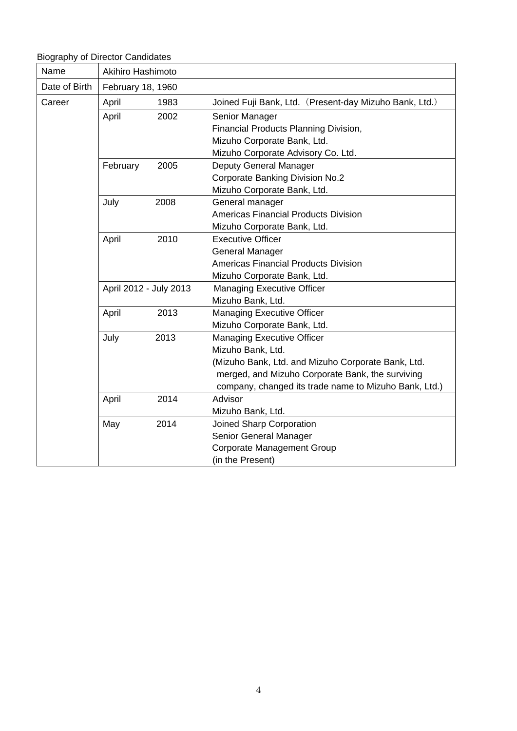Biography of Director Candidates

| Name          | Akihiro Hashimoto      |      |                                                        |  |
|---------------|------------------------|------|--------------------------------------------------------|--|
| Date of Birth | February 18, 1960      |      |                                                        |  |
| Career        | April                  | 1983 | Joined Fuji Bank, Ltd. (Present-day Mizuho Bank, Ltd.) |  |
|               | April                  | 2002 | Senior Manager                                         |  |
|               |                        |      | Financial Products Planning Division,                  |  |
|               |                        |      | Mizuho Corporate Bank, Ltd.                            |  |
|               |                        |      | Mizuho Corporate Advisory Co. Ltd.                     |  |
|               | February               | 2005 | Deputy General Manager                                 |  |
|               |                        |      | <b>Corporate Banking Division No.2</b>                 |  |
|               |                        |      | Mizuho Corporate Bank, Ltd.                            |  |
|               | July                   | 2008 | General manager                                        |  |
|               |                        |      | <b>Americas Financial Products Division</b>            |  |
|               |                        |      | Mizuho Corporate Bank, Ltd.                            |  |
|               | April                  | 2010 | <b>Executive Officer</b>                               |  |
|               |                        |      | <b>General Manager</b>                                 |  |
|               |                        |      | <b>Americas Financial Products Division</b>            |  |
|               |                        |      | Mizuho Corporate Bank, Ltd.                            |  |
|               | April 2012 - July 2013 |      | <b>Managing Executive Officer</b>                      |  |
|               |                        |      | Mizuho Bank, Ltd.                                      |  |
|               | April                  | 2013 | <b>Managing Executive Officer</b>                      |  |
|               |                        |      | Mizuho Corporate Bank, Ltd.                            |  |
|               | July                   | 2013 | <b>Managing Executive Officer</b>                      |  |
|               |                        |      | Mizuho Bank, Ltd.                                      |  |
|               |                        |      | (Mizuho Bank, Ltd. and Mizuho Corporate Bank, Ltd.     |  |
|               |                        |      | merged, and Mizuho Corporate Bank, the surviving       |  |
|               |                        |      | company, changed its trade name to Mizuho Bank, Ltd.)  |  |
|               | April                  | 2014 | Advisor                                                |  |
|               |                        |      | Mizuho Bank, Ltd.                                      |  |
|               | May                    | 2014 | Joined Sharp Corporation                               |  |
|               |                        |      | Senior General Manager                                 |  |
|               |                        |      | <b>Corporate Management Group</b>                      |  |
|               |                        |      | (in the Present)                                       |  |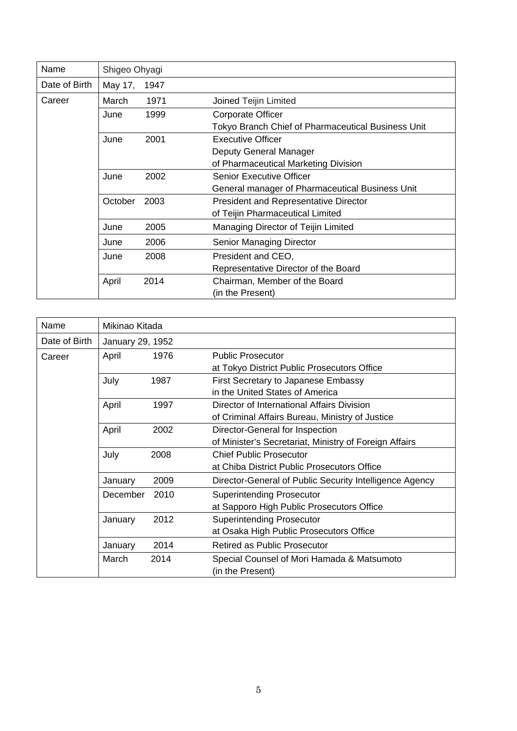| Name          | Shigeo Ohyagi |      |                                                    |
|---------------|---------------|------|----------------------------------------------------|
| Date of Birth | May 17,       | 1947 |                                                    |
| Career        | March         | 1971 | Joined Teijin Limited                              |
|               | June          | 1999 | Corporate Officer                                  |
|               |               |      | Tokyo Branch Chief of Pharmaceutical Business Unit |
|               | June          | 2001 | <b>Executive Officer</b>                           |
|               |               |      | Deputy General Manager                             |
|               |               |      | of Pharmaceutical Marketing Division               |
|               | June          | 2002 | <b>Senior Executive Officer</b>                    |
|               |               |      | General manager of Pharmaceutical Business Unit    |
|               | October       | 2003 | <b>President and Representative Director</b>       |
|               |               |      | of Teijin Pharmaceutical Limited                   |
|               | June          | 2005 | Managing Director of Teijin Limited                |
|               | June          | 2006 | Senior Managing Director                           |
|               | June          | 2008 | President and CEO,                                 |
|               |               |      | Representative Director of the Board               |
|               | April         | 2014 | Chairman, Member of the Board                      |
|               |               |      | (in the Present)                                   |

| Name          | Mikinao Kitada   |      |                                                         |  |
|---------------|------------------|------|---------------------------------------------------------|--|
| Date of Birth | January 29, 1952 |      |                                                         |  |
| Career        | April            | 1976 | <b>Public Prosecutor</b>                                |  |
|               |                  |      | at Tokyo District Public Prosecutors Office             |  |
|               | July             | 1987 | First Secretary to Japanese Embassy                     |  |
|               |                  |      | in the United States of America                         |  |
|               | April            | 1997 | Director of International Affairs Division              |  |
|               |                  |      | of Criminal Affairs Bureau, Ministry of Justice         |  |
|               | April            | 2002 | Director-General for Inspection                         |  |
|               |                  |      | of Minister's Secretariat, Ministry of Foreign Affairs  |  |
|               | July             | 2008 | <b>Chief Public Prosecutor</b>                          |  |
|               |                  |      | at Chiba District Public Prosecutors Office             |  |
|               | January          | 2009 | Director-General of Public Security Intelligence Agency |  |
|               | December         | 2010 | <b>Superintending Prosecutor</b>                        |  |
|               |                  |      | at Sapporo High Public Prosecutors Office               |  |
|               | January          | 2012 | <b>Superintending Prosecutor</b>                        |  |
|               |                  |      | at Osaka High Public Prosecutors Office                 |  |
|               | January          | 2014 | <b>Retired as Public Prosecutor</b>                     |  |
|               | March            | 2014 | Special Counsel of Mori Hamada & Matsumoto              |  |
|               |                  |      | (in the Present)                                        |  |